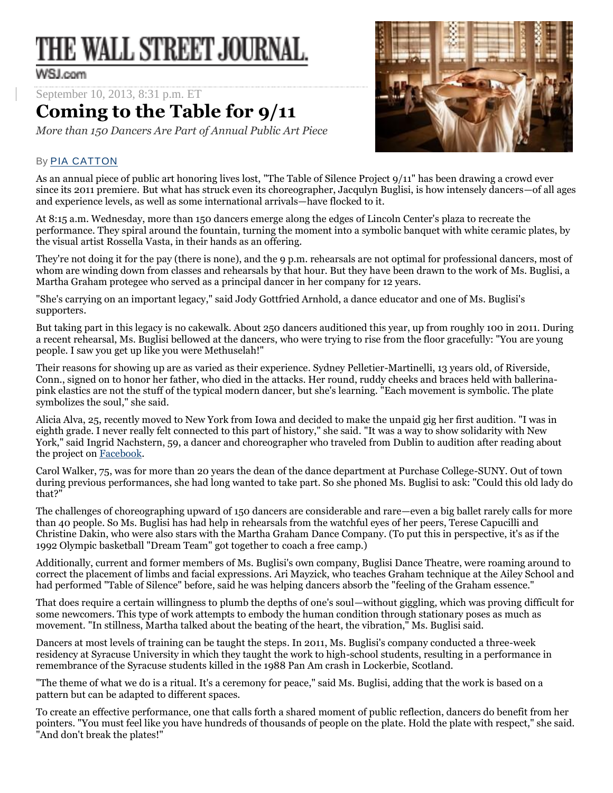## THE WALL STREET JOURNAL.

## September 10, 2013, 8:31 p.m. ET **Coming to the Table for 9/11**

*More than 150 Dancers Are Part of Annual Public Art Piece*



## By [PIA CATTON](http://topics.wsj.com/person/A/biography/6545)

As an annual piece of public art honoring lives lost, "The Table of Silence Project 9/11" has been drawing a crowd ever since its 2011 premiere. But what has struck even its choreographer, Jacqulyn Buglisi, is how intensely dancers—of all ages and experience levels, as well as some international arrivals—have flocked to it.

At 8:15 a.m. Wednesday, more than 150 dancers emerge along the edges of Lincoln Center's plaza to recreate the performance. They spiral around the fountain, turning the moment into a symbolic banquet with white ceramic plates, by the visual artist Rossella Vasta, in their hands as an offering.

They're not doing it for the pay (there is none), and the 9 p.m. rehearsals are not optimal for professional dancers, most of whom are winding down from classes and rehearsals by that hour. But they have been drawn to the work of Ms. Buglisi, a Martha Graham protegee who served as a principal dancer in her company for 12 years.

"She's carrying on an important legacy," said Jody Gottfried Arnhold, a dance educator and one of Ms. Buglisi's supporters.

But taking part in this legacy is no cakewalk. About 250 dancers auditioned this year, up from roughly 100 in 2011. During a recent rehearsal, Ms. Buglisi bellowed at the dancers, who were trying to rise from the floor gracefully: "You are young people. I saw you get up like you were Methuselah!"

Their reasons for showing up are as varied as their experience. Sydney Pelletier-Martinelli, 13 years old, of Riverside, Conn., signed on to honor her father, who died in the attacks. Her round, ruddy cheeks and braces held with ballerinapink elastics are not the stuff of the typical modern dancer, but she's learning. "Each movement is symbolic. The plate symbolizes the soul," she said.

Alicia Alva, 25, recently moved to New York from Iowa and decided to make the unpaid gig her first audition. "I was in eighth grade. I never really felt connected to this part of history," she said. "It was a way to show solidarity with New York," said Ingrid Nachstern, 59, a dancer and choreographer who traveled from Dublin to audition after reading about the project on [Facebook.](http://quotes.wsj.com/FB?mod=DNH_S_cq&lc=int_mb_1001)

Carol Walker, 75, was for more than 20 years the dean of the dance department at Purchase College-SUNY. Out of town during previous performances, she had long wanted to take part. So she phoned Ms. Buglisi to ask: "Could this old lady do that?"

The challenges of choreographing upward of 150 dancers are considerable and rare—even a big ballet rarely calls for more than 40 people. So Ms. Buglisi has had help in rehearsals from the watchful eyes of her peers, Terese Capucilli and Christine Dakin, who were also stars with the Martha Graham Dance Company. (To put this in perspective, it's as if the 1992 Olympic basketball "Dream Team" got together to coach a free camp.)

Additionally, current and former members of Ms. Buglisi's own company, Buglisi Dance Theatre, were roaming around to correct the placement of limbs and facial expressions. Ari Mayzick, who teaches Graham technique at the Ailey School and had performed "Table of Silence" before, said he was helping dancers absorb the "feeling of the Graham essence."

That does require a certain willingness to plumb the depths of one's soul—without giggling, which was proving difficult for some newcomers. This type of work attempts to embody the human condition through stationary poses as much as movement. "In stillness, Martha talked about the beating of the heart, the vibration," Ms. Buglisi said.

Dancers at most levels of training can be taught the steps. In 2011, Ms. Buglisi's company conducted a three-week residency at Syracuse University in which they taught the work to high-school students, resulting in a performance in remembrance of the Syracuse students killed in the 1988 Pan Am crash in Lockerbie, Scotland.

"The theme of what we do is a ritual. It's a ceremony for peace," said Ms. Buglisi, adding that the work is based on a pattern but can be adapted to different spaces.

To create an effective performance, one that calls forth a shared moment of public reflection, dancers do benefit from her pointers. "You must feel like you have hundreds of thousands of people on the plate. Hold the plate with respect," she said. "And don't break the plates!"